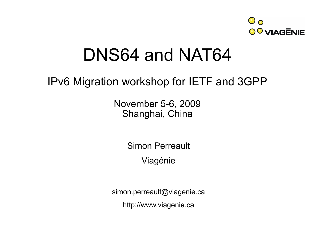

#### DNS64 and NAT64

#### IPv6 Migration workshop for IETF and 3GPP

November 5-6, 2009 Shanghai, China

Simon Perreault

Viagénie

simon.perreault@viagenie.ca

http://www.viagenie.ca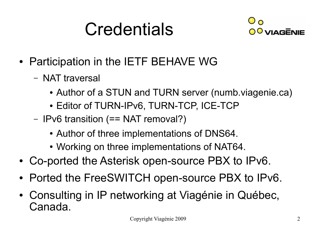### **Credentials**



- Participation in the IETF BEHAVE WG
	- NAT traversal
		- Author of a STUN and TURN server (numb.viagenie.ca)
		- Editor of TURN-IPv6, TURN-TCP, ICE-TCP
	- IPv6 transition (== NAT removal?)
		- Author of three implementations of DNS64.
		- Working on three implementations of NAT64.
- Co-ported the Asterisk open-source PBX to IPv6.
- Ported the FreeSWITCH open-source PBX to IPv6.
- Consulting in IP networking at Viagénie in Québec, Canada.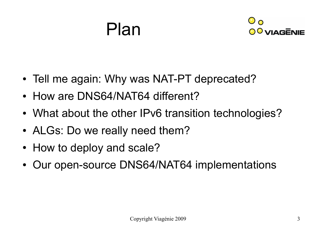#### Plan



- Tell me again: Why was NAT-PT deprecated?
- How are DNS64/NAT64 different?
- What about the other IPv6 transition technologies?
- ALGs: Do we really need them?
- How to deploy and scale?
- Our open-source DNS64/NAT64 implementations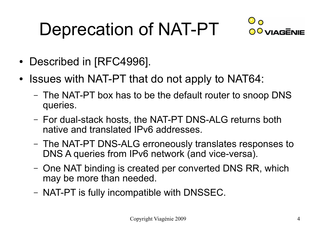# Deprecation of NAT-PT



- Described in [RFC4996].
- Issues with NAT-PT that do not apply to NAT64:
	- The NAT-PT box has to be the default router to snoop DNS queries.
	- For dual-stack hosts, the NAT-PT DNS-ALG returns both native and translated IPv6 addresses.
	- The NAT-PT DNS-ALG erroneously translates responses to DNS A queries from IPv6 network (and vice-versa).
	- One NAT binding is created per converted DNS RR, which may be more than needed.
	- NAT-PT is fully incompatible with DNSSEC.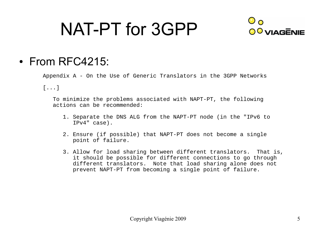### NAT-PT for 3GPP



#### $\cdot$  From RFC4215:

Appendix A - On the Use of Generic Translators in the 3GPP Networks

[...]

 To minimize the problems associated with NAPT-PT, the following actions can be recommended:

- 1. Separate the DNS ALG from the NAPT-PT node (in the "IPv6 to IPv4" case).
- 2. Ensure (if possible) that NAPT-PT does not become a single point of failure.
- 3. Allow for load sharing between different translators. That is, it should be possible for different connections to go through different translators. Note that load sharing alone does not prevent NAPT-PT from becoming a single point of failure.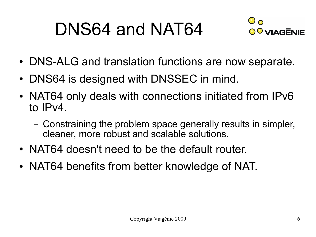## DNS64 and NAT64



- DNS-ALG and translation functions are now separate.
- DNS64 is designed with DNSSEC in mind.
- NAT64 only deals with connections initiated from IPv6 to IPv4.
	- Constraining the problem space generally results in simpler, cleaner, more robust and scalable solutions.
- NAT64 doesn't need to be the default router.
- NAT64 benefits from better knowledge of NAT.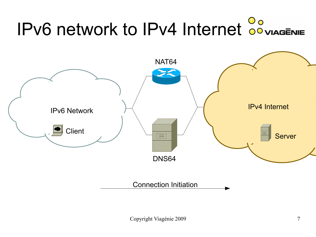# IPv6 network to IPv4 Internet **Compagement**

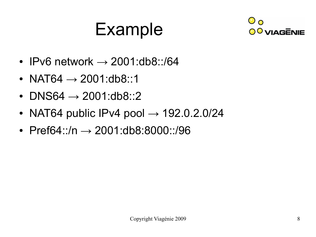## Example



- IPv6 network  $\rightarrow$  2001:db8::/64
- NAT64  $\rightarrow$  2001:db8::1
- DNS64  $\rightarrow$  2001:db8::2
- NAT64 public IPv4 pool  $\rightarrow$  192.0.2.0/24
- Pref64::/n  $\rightarrow$  2001:db8:8000::/96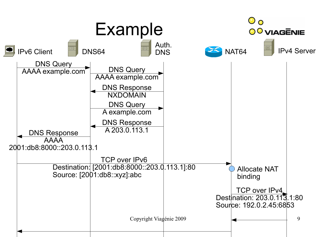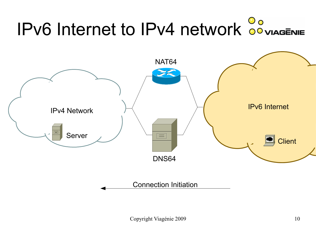# IPv6 Internet to IPv4 network **Compagement**

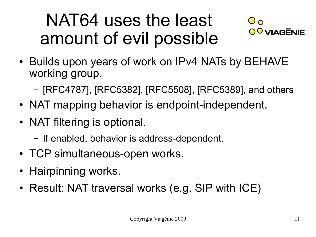#### NAT64 uses the least amount of evil possible



- Builds upon years of work on IPv4 NATs by BEHAVE working group.
	- [RFC4787], [RFC5382], [RFC5508], [RFC5389], and others
- NAT mapping behavior is endpoint-independent.
- NAT filtering is optional.
	- If enabled, behavior is address-dependent.
- TCP simultaneous-open works.
- Hairpinning works.
- Result: NAT traversal works (e.g. SIP with ICE)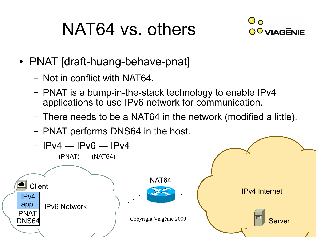### NAT64 vs. others



- PNAT [draft-huang-behave-pnat]
	- Not in conflict with NAT64.
	- PNAT is a bump-in-the-stack technology to enable IPv4 applications to use IPv6 network for communication.
	- There needs to be a NAT64 in the network (modified a little).
	- PNAT performs DNS64 in the host.

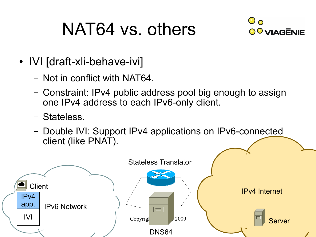### NAT64 vs. others



- IVI [draft-xli-behave-ivi]
	- Not in conflict with NAT64.
	- Constraint: IPv4 public address pool big enough to assign one IPv4 address to each IPv6-only client.
	- Stateless.
	- Double IVI: Support IPv4 applications on IPv6-connected client (like PNAT).

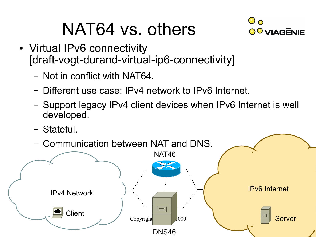### NAT64 vs. others



- Virtual IPv6 connectivity [draft-vogt-durand-virtual-ip6-connectivity]
	- Not in conflict with NAT64.
	- Different use case: IPv4 network to IPv6 Internet.
	- Support legacy IPv4 client devices when IPv6 Internet is well developed.
	- Stateful.

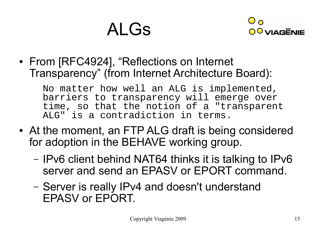### ALGs



• From [RFC4924], "Reflections on Internet Transparency" (from Internet Architecture Board):

No matter how well an ALG is implemented, barriers to transparency will emerge over time, so that the notion of a "transparent ALG" is a contradiction in terms.

- At the moment, an FTP ALG draft is being considered for adoption in the BEHAVE working group.
	- IPv6 client behind NAT64 thinks it is talking to IPv6 server and send an EPASV or EPORT command.
	- Server is really IPv4 and doesn't understand EPASV or EPORT.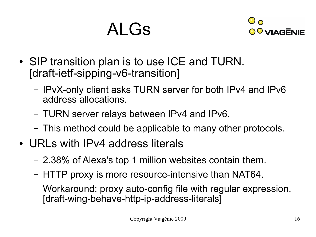#### ALGs



- SIP transition plan is to use ICE and TURN. [draft-ietf-sipping-v6-transition]
	- IPvX-only client asks TURN server for both IPv4 and IPv6 address allocations.
	- TURN server relays between IPv4 and IPv6.
	- This method could be applicable to many other protocols.
- URLs with IPv4 address literals
	- 2.38% of Alexa's top 1 million websites contain them.
	- HTTP proxy is more resource-intensive than NAT64.
	- Workaround: proxy auto-config file with regular expression. [draft-wing-behave-http-ip-address-literals]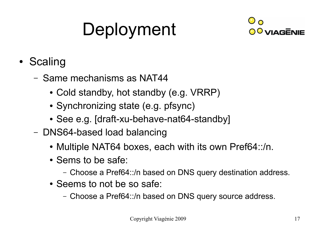# Deployment



- Scaling
	- Same mechanisms as NAT44
		- Cold standby, hot standby (e.g. VRRP)
		- Synchronizing state (e.g. pfsync)
		- See e.g. [draft-xu-behave-nat64-standby]
	- DNS64-based load balancing
		- Multiple NAT64 boxes, each with its own Pref64::/n.
		- Sems to be safe:
			- Choose a Pref64::/n based on DNS query destination address.
		- Seems to not be so safe:
			- Choose a Pref64::/n based on DNS query source address.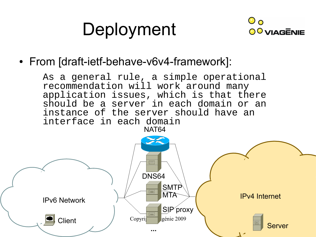### Deployment



#### • From [draft-ietf-behave-v6v4-framework]:

As a general rule, a simple operational recommendation will work around many application issues, which is that there should be a server in each domain or an instance of the server should have an interface in each domain NAT64

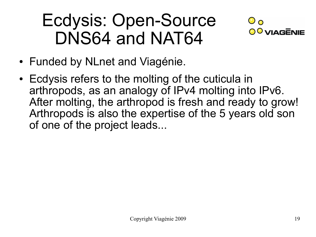#### Ecdysis: Open-Source DNS64 and NAT64



- Funded by NLnet and Viagénie.
- Ecdysis refers to the molting of the cuticula in arthropods, as an analogy of IPv4 molting into IPv6. After molting, the arthropod is fresh and ready to grow! Arthropods is also the expertise of the 5 years old son of one of the project leads...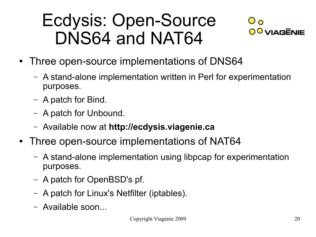#### Ecdysis: Open-Source DNS64 and NAT64



- Three open-source implementations of DNS64
	- A stand-alone implementation written in Perl for experimentation purposes.
	- A patch for Bind.
	- A patch for Unbound.
	- Available now at **http://ecdysis.viagenie.ca**
- Three open-source implementations of NAT64
	- A stand-alone implementation using libpcap for experimentation purposes.
	- A patch for OpenBSD's pf.
	- A patch for Linux's Netfilter (iptables).
	- Available soon...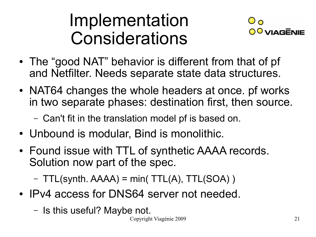#### Implementation Considerations



- The "good NAT" behavior is different from that of pf and Netfilter. Needs separate state data structures.
- NAT64 changes the whole headers at once. pf works in two separate phases: destination first, then source.
	- Can't fit in the translation model pf is based on.
- Unbound is modular, Bind is monolithic.
- Found issue with TTL of synthetic AAAA records. Solution now part of the spec.

 $-$  TTL(synth. AAAA) = min( TTL(A), TTL(SOA))

- IPv4 access for DNS64 server not needed.
	- Is this useful? Maybe not.

Copyright Viagénie 2009 21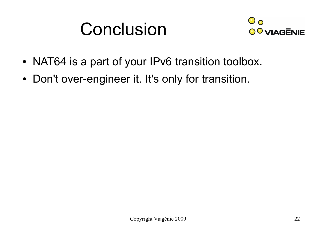#### Conclusion



- NAT64 is a part of your IPv6 transition toolbox.
- Don't over-engineer it. It's only for transition.